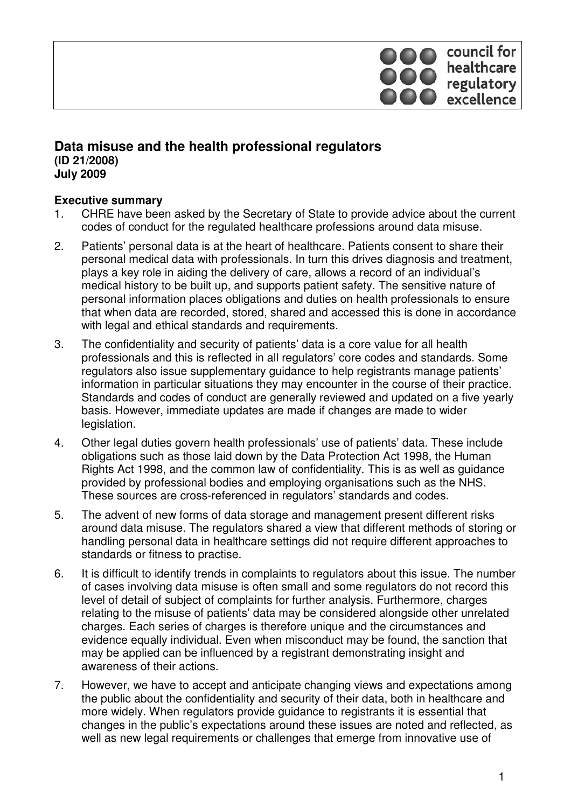# council for healthcare<br>regulatory<br>excellence

## **Data misuse and the health professional regulators (ID 21/2008) July 2009**

## **Executive summary**

- 1. CHRE have been asked by the Secretary of State to provide advice about the current codes of conduct for the regulated healthcare professions around data misuse.
- 2. Patients' personal data is at the heart of healthcare. Patients consent to share their personal medical data with professionals. In turn this drives diagnosis and treatment, plays a key role in aiding the delivery of care, allows a record of an individual's medical history to be built up, and supports patient safety. The sensitive nature of personal information places obligations and duties on health professionals to ensure that when data are recorded, stored, shared and accessed this is done in accordance with legal and ethical standards and requirements.
- 3. The confidentiality and security of patients' data is a core value for all health professionals and this is reflected in all regulators' core codes and standards. Some regulators also issue supplementary guidance to help registrants manage patients' information in particular situations they may encounter in the course of their practice. Standards and codes of conduct are generally reviewed and updated on a five yearly basis. However, immediate updates are made if changes are made to wider legislation.
- 4. Other legal duties govern health professionals' use of patients' data. These include obligations such as those laid down by the Data Protection Act 1998, the Human Rights Act 1998, and the common law of confidentiality. This is as well as guidance provided by professional bodies and employing organisations such as the NHS. These sources are cross-referenced in regulators' standards and codes.
- 5. The advent of new forms of data storage and management present different risks around data misuse. The regulators shared a view that different methods of storing or handling personal data in healthcare settings did not require different approaches to standards or fitness to practise.
- 6. It is difficult to identify trends in complaints to regulators about this issue. The number of cases involving data misuse is often small and some regulators do not record this level of detail of subject of complaints for further analysis. Furthermore, charges relating to the misuse of patients' data may be considered alongside other unrelated charges. Each series of charges is therefore unique and the circumstances and evidence equally individual. Even when misconduct may be found, the sanction that may be applied can be influenced by a registrant demonstrating insight and awareness of their actions.
- 7. However, we have to accept and anticipate changing views and expectations among the public about the confidentiality and security of their data, both in healthcare and more widely. When regulators provide guidance to registrants it is essential that changes in the public's expectations around these issues are noted and reflected, as well as new legal requirements or challenges that emerge from innovative use of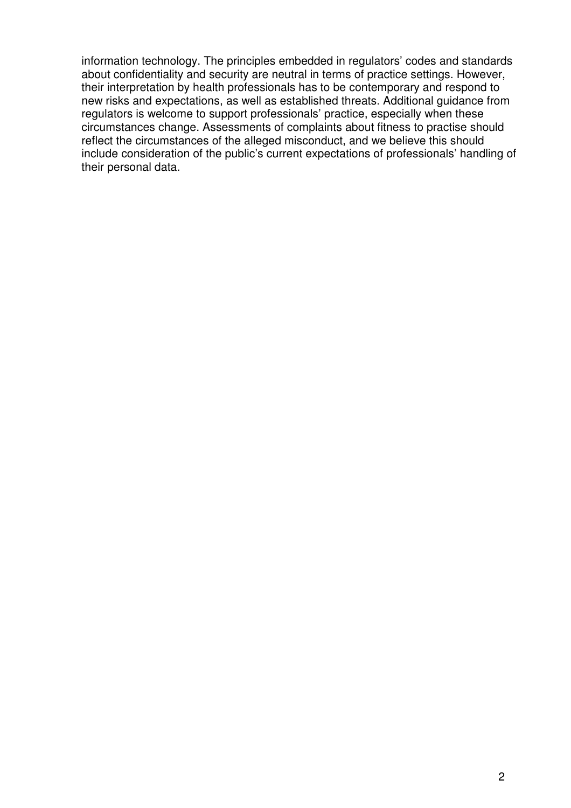information technology. The principles embedded in regulators' codes and standards about confidentiality and security are neutral in terms of practice settings. However, their interpretation by health professionals has to be contemporary and respond to new risks and expectations, as well as established threats. Additional guidance from regulators is welcome to support professionals' practice, especially when these circumstances change. Assessments of complaints about fitness to practise should reflect the circumstances of the alleged misconduct, and we believe this should include consideration of the public's current expectations of professionals' handling of their personal data.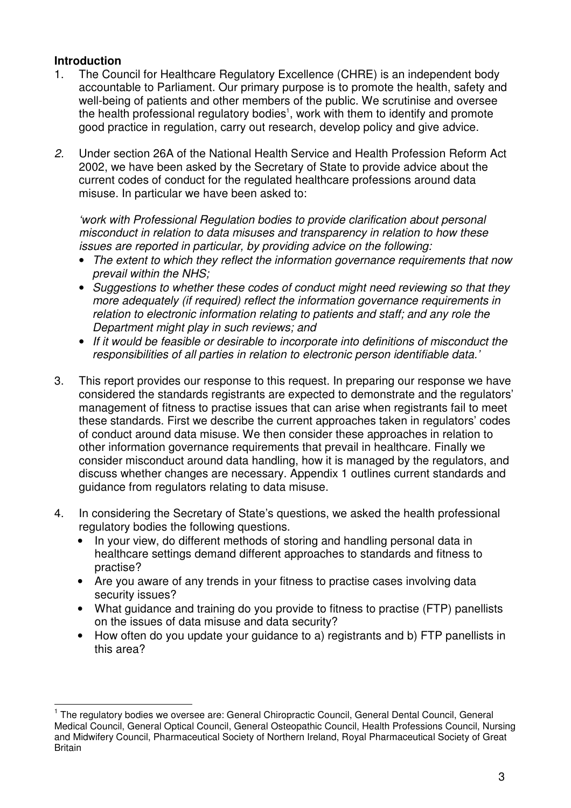## **Introduction**

- 1. The Council for Healthcare Regulatory Excellence (CHRE) is an independent body accountable to Parliament. Our primary purpose is to promote the health, safety and well-being of patients and other members of the public. We scrutinise and oversee the health professional regulatory bodies<sup>1</sup>, work with them to identify and promote good practice in regulation, carry out research, develop policy and give advice.
- 2. Under section 26A of the National Health Service and Health Profession Reform Act 2002, we have been asked by the Secretary of State to provide advice about the current codes of conduct for the regulated healthcare professions around data misuse. In particular we have been asked to:

'work with Professional Regulation bodies to provide clarification about personal misconduct in relation to data misuses and transparency in relation to how these issues are reported in particular, by providing advice on the following:

- The extent to which they reflect the information governance requirements that now prevail within the NHS;
- Suggestions to whether these codes of conduct might need reviewing so that they more adequately (if required) reflect the information governance requirements in relation to electronic information relating to patients and staff; and any role the Department might play in such reviews; and
- If it would be feasible or desirable to incorporate into definitions of misconduct the responsibilities of all parties in relation to electronic person identifiable data.'
- 3. This report provides our response to this request. In preparing our response we have considered the standards registrants are expected to demonstrate and the regulators' management of fitness to practise issues that can arise when registrants fail to meet these standards. First we describe the current approaches taken in regulators' codes of conduct around data misuse. We then consider these approaches in relation to other information governance requirements that prevail in healthcare. Finally we consider misconduct around data handling, how it is managed by the regulators, and discuss whether changes are necessary. Appendix 1 outlines current standards and guidance from regulators relating to data misuse.
- 4. In considering the Secretary of State's questions, we asked the health professional regulatory bodies the following questions.
	- In vour view, do different methods of storing and handling personal data in healthcare settings demand different approaches to standards and fitness to practise?
	- Are you aware of any trends in your fitness to practise cases involving data security issues?
	- What guidance and training do you provide to fitness to practise (FTP) panellists on the issues of data misuse and data security?
	- How often do you update your quidance to a) registrants and b) FTP panellists in this area?

 <sup>1</sup> The regulatory bodies we oversee are: General Chiropractic Council, General Dental Council, General Medical Council, General Optical Council, General Osteopathic Council, Health Professions Council, Nursing and Midwifery Council, Pharmaceutical Society of Northern Ireland, Royal Pharmaceutical Society of Great Britain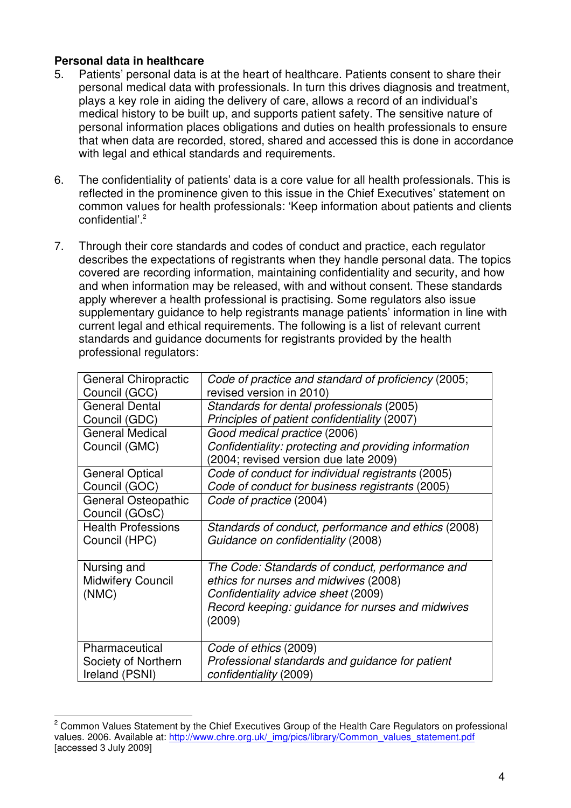## **Personal data in healthcare**

- 5. Patients' personal data is at the heart of healthcare. Patients consent to share their personal medical data with professionals. In turn this drives diagnosis and treatment, plays a key role in aiding the delivery of care, allows a record of an individual's medical history to be built up, and supports patient safety. The sensitive nature of personal information places obligations and duties on health professionals to ensure that when data are recorded, stored, shared and accessed this is done in accordance with legal and ethical standards and requirements.
- 6. The confidentiality of patients' data is a core value for all health professionals. This is reflected in the prominence given to this issue in the Chief Executives' statement on common values for health professionals: 'Keep information about patients and clients confidential'.<sup>2</sup>
- 7. Through their core standards and codes of conduct and practice, each regulator describes the expectations of registrants when they handle personal data. The topics covered are recording information, maintaining confidentiality and security, and how and when information may be released, with and without consent. These standards apply wherever a health professional is practising. Some regulators also issue supplementary guidance to help registrants manage patients' information in line with current legal and ethical requirements. The following is a list of relevant current standards and guidance documents for registrants provided by the health professional regulators:

| <b>General Chiropractic</b> | Code of practice and standard of proficiency (2005;                                            |
|-----------------------------|------------------------------------------------------------------------------------------------|
| Council (GCC)               | revised version in 2010)                                                                       |
| <b>General Dental</b>       | Standards for dental professionals (2005)                                                      |
| Council (GDC)               | Principles of patient confidentiality (2007)                                                   |
| <b>General Medical</b>      | Good medical practice (2006)                                                                   |
| Council (GMC)               | Confidentiality: protecting and providing information<br>(2004; revised version due late 2009) |
| <b>General Optical</b>      | Code of conduct for individual registrants (2005)                                              |
| Council (GOC)               | Code of conduct for business registrants (2005)                                                |
| General Osteopathic         | Code of practice (2004)                                                                        |
| Council (GOsC)              |                                                                                                |
| <b>Health Professions</b>   | Standards of conduct, performance and ethics (2008)                                            |
| Council (HPC)               | Guidance on confidentiality (2008)                                                             |
|                             |                                                                                                |
| Nursing and                 | The Code: Standards of conduct, performance and                                                |
| <b>Midwifery Council</b>    | ethics for nurses and midwives (2008)                                                          |
| (NMC)                       | Confidentiality advice sheet (2009)                                                            |
|                             | Record keeping: guidance for nurses and midwives                                               |
|                             | (2009)                                                                                         |
|                             |                                                                                                |
| Pharmaceutical              | Code of ethics (2009)                                                                          |
| Society of Northern         | Professional standards and guidance for patient                                                |
| Ireland (PSNI)              | confidentiality (2009)                                                                         |

 2 Common Values Statement by the Chief Executives Group of the Health Care Regulators on professional values. 2006. Available at: http://www.chre.org.uk/\_img/pics/library/Common\_values\_statement.pdf [accessed 3 July 2009]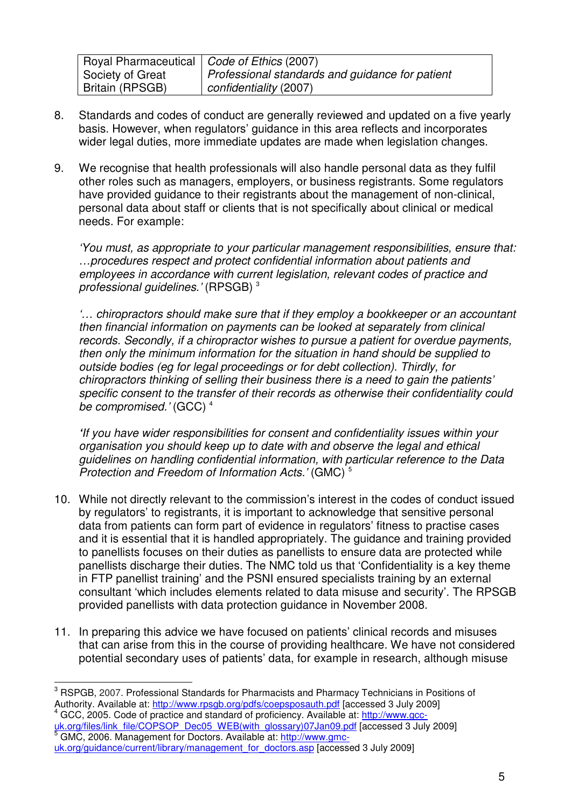| Royal Pharmaceutical   Code of Ethics (2007) |                                                 |
|----------------------------------------------|-------------------------------------------------|
| Society of Great                             | Professional standards and guidance for patient |
| Britain (RPSGB)                              | confidentiality (2007)                          |

- 8. Standards and codes of conduct are generally reviewed and updated on a five yearly basis. However, when regulators' guidance in this area reflects and incorporates wider legal duties, more immediate updates are made when legislation changes.
- 9. We recognise that health professionals will also handle personal data as they fulfil other roles such as managers, employers, or business registrants. Some regulators have provided guidance to their registrants about the management of non-clinical, personal data about staff or clients that is not specifically about clinical or medical needs. For example:

'You must, as appropriate to your particular management responsibilities, ensure that: …procedures respect and protect confidential information about patients and employees in accordance with current legislation, relevant codes of practice and professional guidelines.' (RPSGB)<sup>3</sup>

'… chiropractors should make sure that if they employ a bookkeeper or an accountant then financial information on payments can be looked at separately from clinical records. Secondly, if a chiropractor wishes to pursue a patient for overdue payments, then only the minimum information for the situation in hand should be supplied to outside bodies (eg for legal proceedings or for debt collection). Thirdly, for chiropractors thinking of selling their business there is a need to gain the patients' specific consent to the transfer of their records as otherwise their confidentiality could be compromised.' (GCC)<sup>4</sup>

**'**If you have wider responsibilities for consent and confidentiality issues within your organisation you should keep up to date with and observe the legal and ethical guidelines on handling confidential information, with particular reference to the Data Protection and Freedom of Information Acts.' (GMC) <sup>5</sup>

- 10. While not directly relevant to the commission's interest in the codes of conduct issued by regulators' to registrants, it is important to acknowledge that sensitive personal data from patients can form part of evidence in regulators' fitness to practise cases and it is essential that it is handled appropriately. The guidance and training provided to panellists focuses on their duties as panellists to ensure data are protected while panellists discharge their duties. The NMC told us that 'Confidentiality is a key theme in FTP panellist training' and the PSNI ensured specialists training by an external consultant 'which includes elements related to data misuse and security'. The RPSGB provided panellists with data protection guidance in November 2008.
- 11. In preparing this advice we have focused on patients' clinical records and misuses that can arise from this in the course of providing healthcare. We have not considered potential secondary uses of patients' data, for example in research, although misuse

 $\overline{\phantom{a}}$ <sup>3</sup> RSPGB, 2007. Professional Standards for Pharmacists and Pharmacy Technicians in Positions of Authority. Available at: http://www.rpsgb.org/pdfs/coepsposauth.pdf [accessed 3 July 2009]

<sup>&</sup>lt;sup>4</sup> GCC, 2005. Code of practice and standard of proficiency. Available at: http://www.gccuk.org/files/link\_file/COPSOP\_Dec05\_WEB(with\_glossary)07Jan09.pdf [accessed 3 July 2009]<br>5 CMC\_2006\_Managament for Dectare\_Avoilable\_at: http://www.ame GMC, 2006. Management for Doctors. Available at: http://www.gmc-

uk.org/guidance/current/library/management\_for\_doctors.asp [accessed 3 July 2009]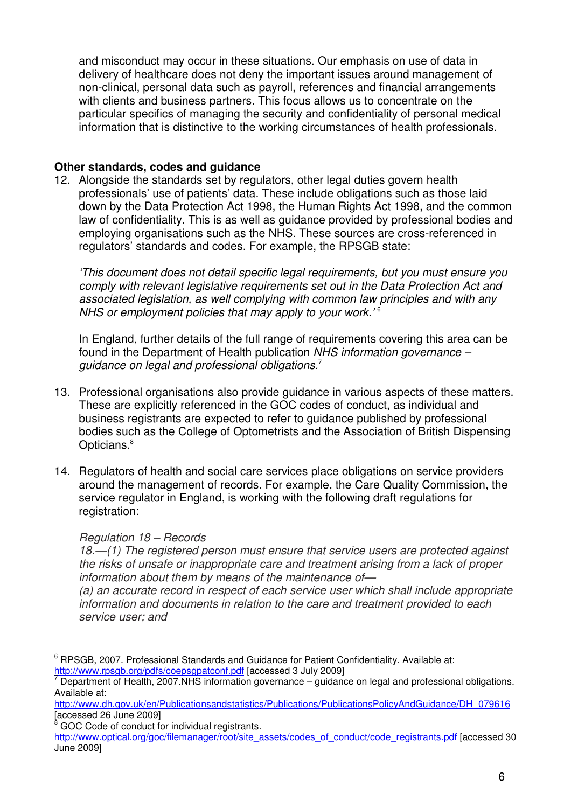and misconduct may occur in these situations. Our emphasis on use of data in delivery of healthcare does not deny the important issues around management of non-clinical, personal data such as payroll, references and financial arrangements with clients and business partners. This focus allows us to concentrate on the particular specifics of managing the security and confidentiality of personal medical information that is distinctive to the working circumstances of health professionals.

## **Other standards, codes and guidance**

12. Alongside the standards set by regulators, other legal duties govern health professionals' use of patients' data. These include obligations such as those laid down by the Data Protection Act 1998, the Human Rights Act 1998, and the common law of confidentiality. This is as well as guidance provided by professional bodies and employing organisations such as the NHS. These sources are cross-referenced in regulators' standards and codes. For example, the RPSGB state:

'This document does not detail specific legal requirements, but you must ensure you comply with relevant legislative requirements set out in the Data Protection Act and associated legislation, as well complying with common law principles and with any NHS or employment policies that may apply to your work.<sup>'6</sup>

In England, further details of the full range of requirements covering this area can be found in the Department of Health publication NHS information governance – guidance on legal and professional obligations.<sup>7</sup>

- 13. Professional organisations also provide guidance in various aspects of these matters. These are explicitly referenced in the GOC codes of conduct, as individual and business registrants are expected to refer to guidance published by professional bodies such as the College of Optometrists and the Association of British Dispensing Opticians.<sup>8</sup>
- 14. Regulators of health and social care services place obligations on service providers around the management of records. For example, the Care Quality Commission, the service regulator in England, is working with the following draft regulations for registration:

#### Regulation 18 – Records

18.—(1) The registered person must ensure that service users are protected against the risks of unsafe or inappropriate care and treatment arising from a lack of proper information about them by means of the maintenance of—

(a) an accurate record in respect of each service user which shall include appropriate information and documents in relation to the care and treatment provided to each service user; and

 $\overline{\phantom{a}}$ <sup>6</sup> RPSGB, 2007. Professional Standards and Guidance for Patient Confidentiality. Available at: http://www.rpsgb.org/pdfs/coepsgpatconf.pdf [accessed 3 July 2009]

<sup>7</sup> Department of Health, 2007.NHS information governance – guidance on legal and professional obligations. Available at:

http://www.dh.gov.uk/en/Publicationsandstatistics/Publications/PublicationsPolicyAndGuidance/DH\_079616 [accessed 26 June 2009]

<sup>8</sup> GOC Code of conduct for individual registrants.

http://www.optical.org/goc/filemanager/root/site\_assets/codes\_of\_conduct/code\_registrants.pdf [accessed 30 June 2009]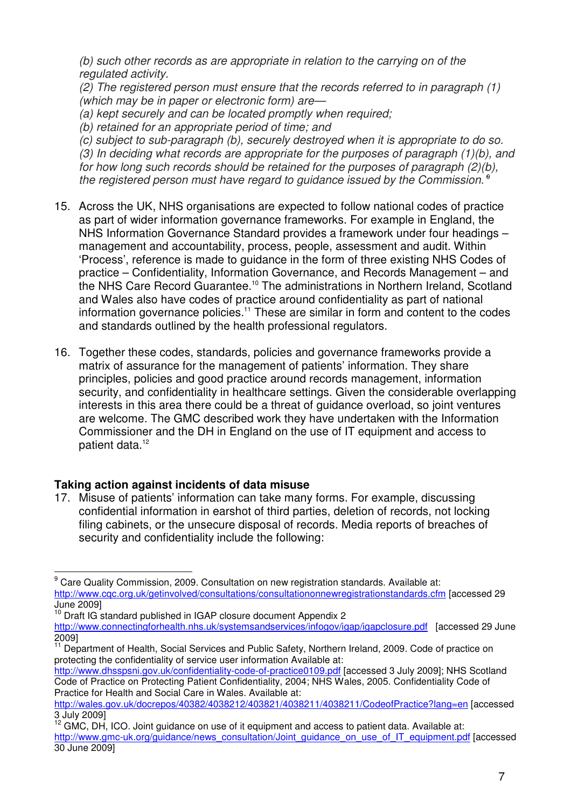(b) such other records as are appropriate in relation to the carrying on of the regulated activity.

(2) The registered person must ensure that the records referred to in paragraph (1) (which may be in paper or electronic form) are—

(a) kept securely and can be located promptly when required;

(b) retained for an appropriate period of time; and

(c) subject to sub-paragraph (b), securely destroyed when it is appropriate to do so. (3) In deciding what records are appropriate for the purposes of paragraph (1)(b), and for how long such records should be retained for the purposes of paragraph (2)(b), the registered person must have regard to guidance issued by the Commission.<sup>8</sup>

- 15. Across the UK, NHS organisations are expected to follow national codes of practice as part of wider information governance frameworks. For example in England, the NHS Information Governance Standard provides a framework under four headings – management and accountability, process, people, assessment and audit. Within 'Process', reference is made to guidance in the form of three existing NHS Codes of practice – Confidentiality, Information Governance, and Records Management – and the NHS Care Record Guarantee.<sup>10</sup> The administrations in Northern Ireland, Scotland and Wales also have codes of practice around confidentiality as part of national information governance policies.<sup>11</sup> These are similar in form and content to the codes and standards outlined by the health professional regulators.
- 16. Together these codes, standards, policies and governance frameworks provide a matrix of assurance for the management of patients' information. They share principles, policies and good practice around records management, information security, and confidentiality in healthcare settings. Given the considerable overlapping interests in this area there could be a threat of guidance overload, so joint ventures are welcome. The GMC described work they have undertaken with the Information Commissioner and the DH in England on the use of IT equipment and access to patient data.<sup>12</sup>

# **Taking action against incidents of data misuse**

17. Misuse of patients' information can take many forms. For example, discussing confidential information in earshot of third parties, deletion of records, not locking filing cabinets, or the unsecure disposal of records. Media reports of breaches of security and confidentiality include the following:

 $\overline{\phantom{a}}$ <sup>9</sup> Care Quality Commission, 2009. Consultation on new registration standards. Available at: http://www.cqc.org.uk/getinvolved/consultations/consultationonnewregistrationstandards.cfm [accessed 29 June 2009]

 $10$  Draft IG standard published in IGAP closure document Appendix 2

http://www.connectingforhealth.nhs.uk/systemsandservices/infogov/igap/igapclosure.pdf [accessed 29 June 2009]

<sup>&</sup>lt;sup>11</sup> Department of Health, Social Services and Public Safety, Northern Ireland, 2009. Code of practice on protecting the confidentiality of service user information Available at:

http://www.dhsspsni.gov.uk/confidentiality-code-of-practice0109.pdf [accessed 3 July 2009]; NHS Scotland Code of Practice on Protecting Patient Confidentiality, 2004; NHS Wales, 2005. Confidentiality Code of Practice for Health and Social Care in Wales. Available at:

http://wales.gov.uk/docrepos/40382/4038212/403821/4038211/4038211/CodeofPractice?lang=en [accessed 3 July 2009]

 $12$  GMC, DH, ICO. Joint guidance on use of it equipment and access to patient data. Available at: http://www.gmc-uk.org/guidance/news\_consultation/Joint\_guidance\_on\_use\_of\_IT\_equipment.pdf [accessed 30 June 2009]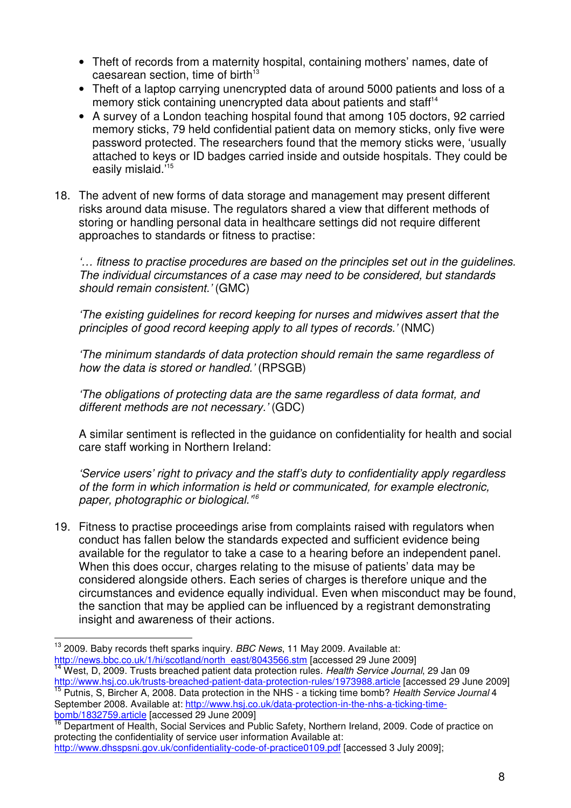- Theft of records from a maternity hospital, containing mothers' names, date of caesarean section, time of birth $13$
- Theft of a laptop carrying unencrypted data of around 5000 patients and loss of a memory stick containing unencrypted data about patients and staff<sup>14</sup>
- A survey of a London teaching hospital found that among 105 doctors, 92 carried memory sticks, 79 held confidential patient data on memory sticks, only five were password protected. The researchers found that the memory sticks were, 'usually attached to keys or ID badges carried inside and outside hospitals. They could be easily mislaid.'<sup>15</sup>
- 18. The advent of new forms of data storage and management may present different risks around data misuse. The regulators shared a view that different methods of storing or handling personal data in healthcare settings did not require different approaches to standards or fitness to practise:

'… fitness to practise procedures are based on the principles set out in the guidelines. The individual circumstances of a case may need to be considered, but standards should remain consistent.' (GMC)

'The existing guidelines for record keeping for nurses and midwives assert that the principles of good record keeping apply to all types of records.' (NMC)

'The minimum standards of data protection should remain the same regardless of how the data is stored or handled.' (RPSGB)

'The obligations of protecting data are the same regardless of data format, and different methods are not necessary.' (GDC)

A similar sentiment is reflected in the guidance on confidentiality for health and social care staff working in Northern Ireland:

'Service users' right to privacy and the staff's duty to confidentiality apply regardless of the form in which information is held or communicated, for example electronic, paper, photographic or biological.<sup>76</sup>

19. Fitness to practise proceedings arise from complaints raised with regulators when conduct has fallen below the standards expected and sufficient evidence being available for the regulator to take a case to a hearing before an independent panel. When this does occur, charges relating to the misuse of patients' data may be considered alongside others. Each series of charges is therefore unique and the circumstances and evidence equally individual. Even when misconduct may be found, the sanction that may be applied can be influenced by a registrant demonstrating insight and awareness of their actions.

September 2008. Available at: http://www.hsj.co.uk/data-protection-in-the-nhs-a-ticking-timebomb/1832759.article [accessed 29 June 2009]

 $\overline{1}$  $13$  2009. Baby records theft sparks inquiry. BBC News, 11 May 2009. Available at: http://news.bbc.co.uk/1/hi/scotland/north\_east/8043566.stm [accessed 29 June 2009]

<sup>14</sup> West, D, 2009. Trusts breached patient data protection rules. Health Service Journal, 29 Jan 09 http://www.hsj.co.uk/trusts-breached-patient-data-protection-rules/1973988.article [accessed 29 June 2009] <sup>15</sup> Putnis, S, Bircher A, 2008. Data protection in the NHS - a ticking time bomb? Health Service Journal 4

Department of Health, Social Services and Public Safety, Northern Ireland, 2009. Code of practice on protecting the confidentiality of service user information Available at: http://www.dhsspsni.gov.uk/confidentiality-code-of-practice0109.pdf [accessed 3 July 2009];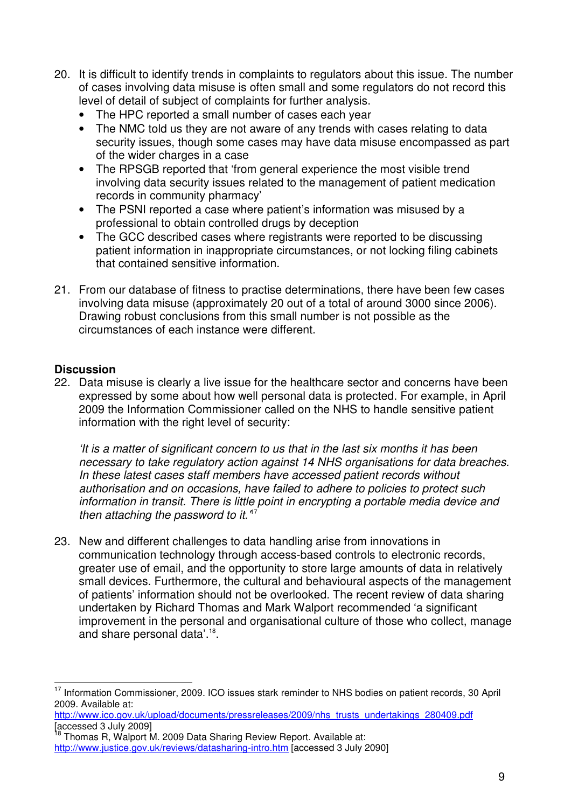- 20. It is difficult to identify trends in complaints to regulators about this issue. The number of cases involving data misuse is often small and some regulators do not record this level of detail of subject of complaints for further analysis.
	- The HPC reported a small number of cases each year
	- The NMC told us they are not aware of any trends with cases relating to data security issues, though some cases may have data misuse encompassed as part of the wider charges in a case
	- The RPSGB reported that 'from general experience the most visible trend involving data security issues related to the management of patient medication records in community pharmacy'
	- The PSNI reported a case where patient's information was misused by a professional to obtain controlled drugs by deception
	- The GCC described cases where registrants were reported to be discussing patient information in inappropriate circumstances, or not locking filing cabinets that contained sensitive information.
- 21. From our database of fitness to practise determinations, there have been few cases involving data misuse (approximately 20 out of a total of around 3000 since 2006). Drawing robust conclusions from this small number is not possible as the circumstances of each instance were different.

### **Discussion**

 $\overline{1}$ 

22. Data misuse is clearly a live issue for the healthcare sector and concerns have been expressed by some about how well personal data is protected. For example, in April 2009 the Information Commissioner called on the NHS to handle sensitive patient information with the right level of security:

'It is a matter of significant concern to us that in the last six months it has been necessary to take regulatory action against 14 NHS organisations for data breaches. In these latest cases staff members have accessed patient records without authorisation and on occasions, have failed to adhere to policies to protect such information in transit. There is little point in encrypting a portable media device and then attaching the password to it. $17$ 

23. New and different challenges to data handling arise from innovations in communication technology through access-based controls to electronic records, greater use of email, and the opportunity to store large amounts of data in relatively small devices. Furthermore, the cultural and behavioural aspects of the management of patients' information should not be overlooked. The recent review of data sharing undertaken by Richard Thomas and Mark Walport recommended 'a significant improvement in the personal and organisational culture of those who collect, manage and share personal data'.<sup>18</sup>.

http://www.ico.gov.uk/upload/documents/pressreleases/2009/nhs\_trusts\_undertakings\_280409.pdf [accessed 3 July 2009]

<sup>&</sup>lt;sup>17</sup> Information Commissioner, 2009. ICO issues stark reminder to NHS bodies on patient records, 30 April 2009. Available at:

Thomas R, Walport M. 2009 Data Sharing Review Report. Available at: http://www.justice.gov.uk/reviews/datasharing-intro.htm [accessed 3 July 2090]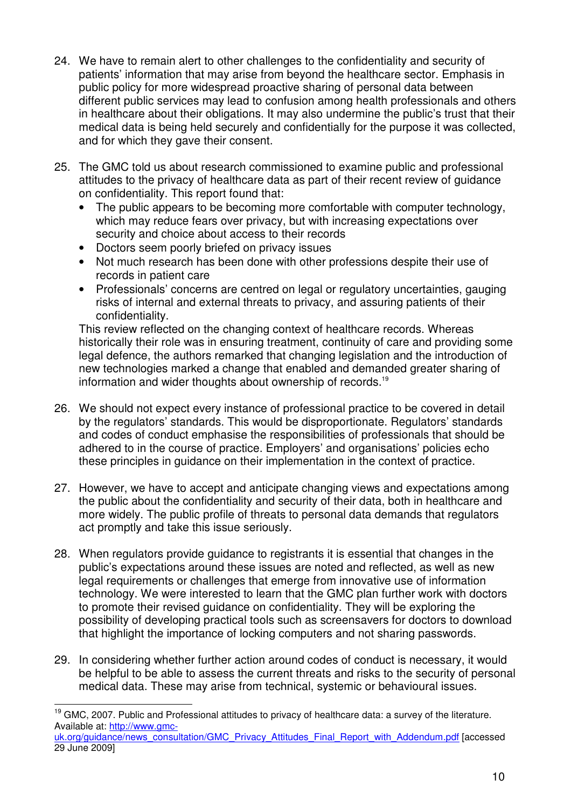- 24. We have to remain alert to other challenges to the confidentiality and security of patients' information that may arise from beyond the healthcare sector. Emphasis in public policy for more widespread proactive sharing of personal data between different public services may lead to confusion among health professionals and others in healthcare about their obligations. It may also undermine the public's trust that their medical data is being held securely and confidentially for the purpose it was collected, and for which they gave their consent.
- 25. The GMC told us about research commissioned to examine public and professional attitudes to the privacy of healthcare data as part of their recent review of guidance on confidentiality. This report found that:
	- The public appears to be becoming more comfortable with computer technology, which may reduce fears over privacy, but with increasing expectations over security and choice about access to their records
	- Doctors seem poorly briefed on privacy issues
	- Not much research has been done with other professions despite their use of records in patient care
	- Professionals' concerns are centred on legal or regulatory uncertainties, gauging risks of internal and external threats to privacy, and assuring patients of their confidentiality.

This review reflected on the changing context of healthcare records. Whereas historically their role was in ensuring treatment, continuity of care and providing some legal defence, the authors remarked that changing legislation and the introduction of new technologies marked a change that enabled and demanded greater sharing of information and wider thoughts about ownership of records.<sup>19</sup>

- 26. We should not expect every instance of professional practice to be covered in detail by the regulators' standards. This would be disproportionate. Regulators' standards and codes of conduct emphasise the responsibilities of professionals that should be adhered to in the course of practice. Employers' and organisations' policies echo these principles in guidance on their implementation in the context of practice.
- 27. However, we have to accept and anticipate changing views and expectations among the public about the confidentiality and security of their data, both in healthcare and more widely. The public profile of threats to personal data demands that regulators act promptly and take this issue seriously.
- 28. When regulators provide guidance to registrants it is essential that changes in the public's expectations around these issues are noted and reflected, as well as new legal requirements or challenges that emerge from innovative use of information technology. We were interested to learn that the GMC plan further work with doctors to promote their revised guidance on confidentiality. They will be exploring the possibility of developing practical tools such as screensavers for doctors to download that highlight the importance of locking computers and not sharing passwords.
- 29. In considering whether further action around codes of conduct is necessary, it would be helpful to be able to assess the current threats and risks to the security of personal medical data. These may arise from technical, systemic or behavioural issues.

  $19$  GMC, 2007. Public and Professional attitudes to privacy of healthcare data: a survey of the literature. Available at: http://www.gmc-

uk.org/guidance/news\_consultation/GMC\_Privacy\_Attitudes\_Final\_Report\_with\_Addendum.pdf [accessed 29 June 2009]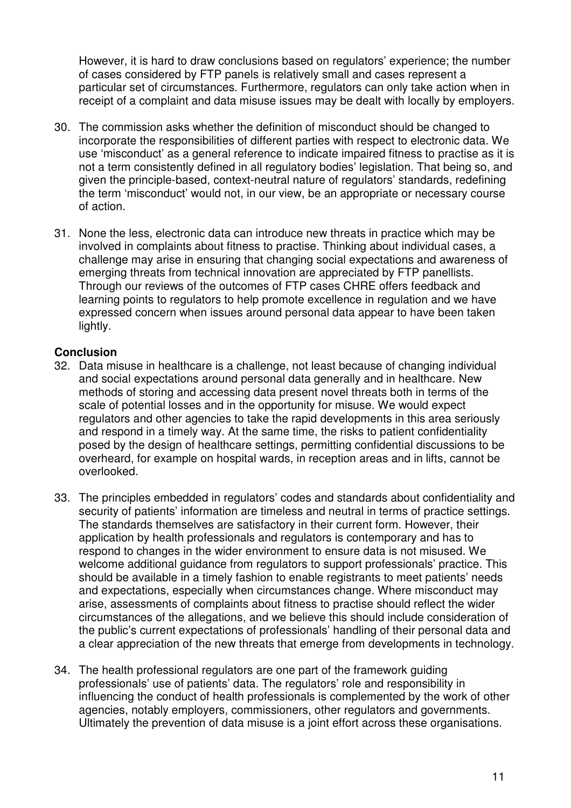However, it is hard to draw conclusions based on regulators' experience; the number of cases considered by FTP panels is relatively small and cases represent a particular set of circumstances. Furthermore, regulators can only take action when in receipt of a complaint and data misuse issues may be dealt with locally by employers.

- 30. The commission asks whether the definition of misconduct should be changed to incorporate the responsibilities of different parties with respect to electronic data. We use 'misconduct' as a general reference to indicate impaired fitness to practise as it is not a term consistently defined in all regulatory bodies' legislation. That being so, and given the principle-based, context-neutral nature of regulators' standards, redefining the term 'misconduct' would not, in our view, be an appropriate or necessary course of action.
- 31. None the less, electronic data can introduce new threats in practice which may be involved in complaints about fitness to practise. Thinking about individual cases, a challenge may arise in ensuring that changing social expectations and awareness of emerging threats from technical innovation are appreciated by FTP panellists. Through our reviews of the outcomes of FTP cases CHRE offers feedback and learning points to regulators to help promote excellence in regulation and we have expressed concern when issues around personal data appear to have been taken lightly.

## **Conclusion**

- 32. Data misuse in healthcare is a challenge, not least because of changing individual and social expectations around personal data generally and in healthcare. New methods of storing and accessing data present novel threats both in terms of the scale of potential losses and in the opportunity for misuse. We would expect regulators and other agencies to take the rapid developments in this area seriously and respond in a timely way. At the same time, the risks to patient confidentiality posed by the design of healthcare settings, permitting confidential discussions to be overheard, for example on hospital wards, in reception areas and in lifts, cannot be overlooked.
- 33. The principles embedded in regulators' codes and standards about confidentiality and security of patients' information are timeless and neutral in terms of practice settings. The standards themselves are satisfactory in their current form. However, their application by health professionals and regulators is contemporary and has to respond to changes in the wider environment to ensure data is not misused. We welcome additional guidance from regulators to support professionals' practice. This should be available in a timely fashion to enable registrants to meet patients' needs and expectations, especially when circumstances change. Where misconduct may arise, assessments of complaints about fitness to practise should reflect the wider circumstances of the allegations, and we believe this should include consideration of the public's current expectations of professionals' handling of their personal data and a clear appreciation of the new threats that emerge from developments in technology.
- 34. The health professional regulators are one part of the framework guiding professionals' use of patients' data. The regulators' role and responsibility in influencing the conduct of health professionals is complemented by the work of other agencies, notably employers, commissioners, other regulators and governments. Ultimately the prevention of data misuse is a joint effort across these organisations.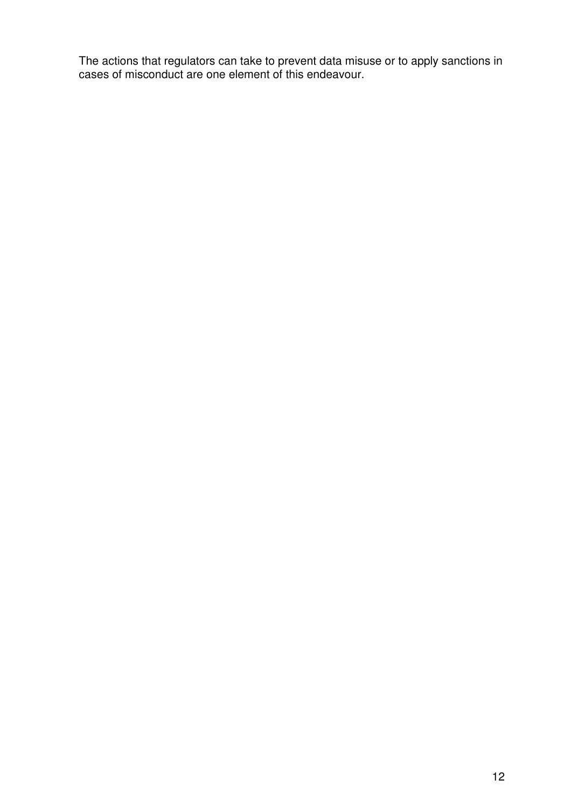The actions that regulators can take to prevent data misuse or to apply sanctions in cases of misconduct are one element of this endeavour.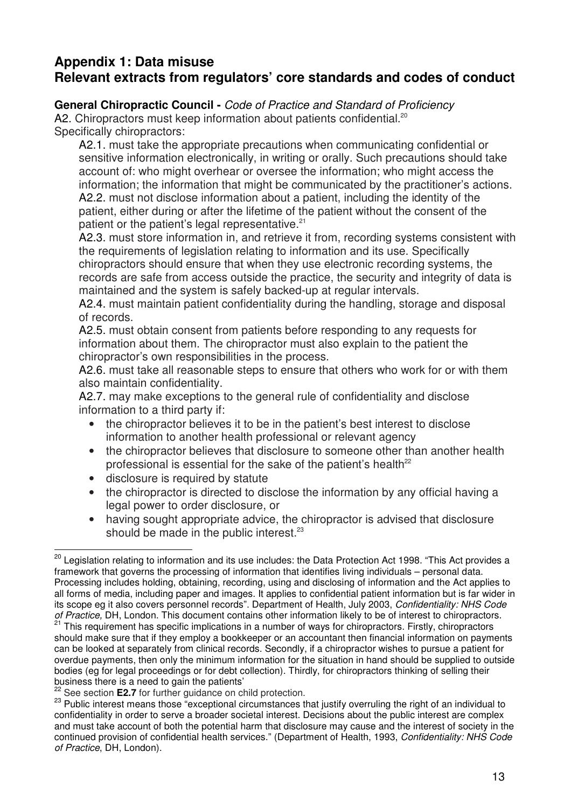# **Appendix 1: Data misuse Relevant extracts from regulators' core standards and codes of conduct**

## **General Chiropractic Council -** Code of Practice and Standard of Proficiency

A2. Chiropractors must keep information about patients confidential.<sup>20</sup>

Specifically chiropractors:

A2.1. must take the appropriate precautions when communicating confidential or sensitive information electronically, in writing or orally. Such precautions should take account of: who might overhear or oversee the information; who might access the information; the information that might be communicated by the practitioner's actions. A2.2. must not disclose information about a patient, including the identity of the patient, either during or after the lifetime of the patient without the consent of the patient or the patient's legal representative.<sup>21</sup>

A2.3. must store information in, and retrieve it from, recording systems consistent with the requirements of legislation relating to information and its use. Specifically chiropractors should ensure that when they use electronic recording systems, the records are safe from access outside the practice, the security and integrity of data is maintained and the system is safely backed-up at regular intervals.

A2.4. must maintain patient confidentiality during the handling, storage and disposal of records.

A2.5. must obtain consent from patients before responding to any requests for information about them. The chiropractor must also explain to the patient the chiropractor's own responsibilities in the process.

A2.6. must take all reasonable steps to ensure that others who work for or with them also maintain confidentiality.

A2.7. may make exceptions to the general rule of confidentiality and disclose information to a third party if:

- the chiropractor believes it to be in the patient's best interest to disclose information to another health professional or relevant agency
- the chiropractor believes that disclosure to someone other than another health professional is essential for the sake of the patient's health $22$
- disclosure is required by statute
- the chiropractor is directed to disclose the information by any official having a legal power to order disclosure, or
- having sought appropriate advice, the chiropractor is advised that disclosure should be made in the public interest.<sup>23</sup>

 $\overline{\phantom{a}}$ <sup>20</sup> Legislation relating to information and its use includes: the Data Protection Act 1998. "This Act provides a framework that governs the processing of information that identifies living individuals – personal data. Processing includes holding, obtaining, recording, using and disclosing of information and the Act applies to all forms of media, including paper and images. It applies to confidential patient information but is far wider in its scope eg it also covers personnel records". Department of Health, July 2003, Confidentiality: NHS Code of Practice, DH, London. This document contains other information likely to be of interest to chiropractors.

<sup>&</sup>lt;sup>21</sup> This requirement has specific implications in a number of ways for chiropractors. Firstly, chiropractors should make sure that if they employ a bookkeeper or an accountant then financial information on payments can be looked at separately from clinical records. Secondly, if a chiropractor wishes to pursue a patient for overdue payments, then only the minimum information for the situation in hand should be supplied to outside bodies (eg for legal proceedings or for debt collection). Thirdly, for chiropractors thinking of selling their business there is a need to gain the patients'

<sup>22</sup> See section **E2.7** for further guidance on child protection.

<sup>&</sup>lt;sup>23</sup> Public interest means those "exceptional circumstances that justify overruling the right of an individual to confidentiality in order to serve a broader societal interest. Decisions about the public interest are complex and must take account of both the potential harm that disclosure may cause and the interest of society in the continued provision of confidential health services." (Department of Health, 1993, Confidentiality: NHS Code of Practice, DH, London).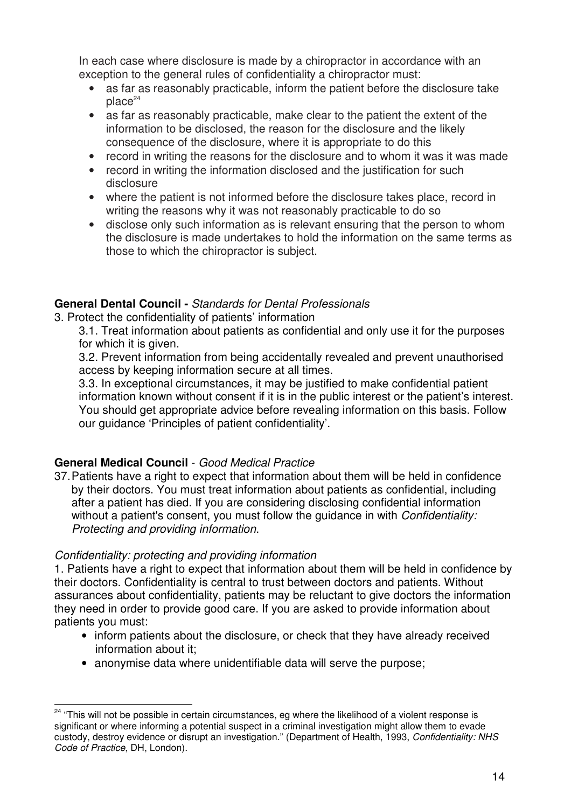In each case where disclosure is made by a chiropractor in accordance with an exception to the general rules of confidentiality a chiropractor must:

- as far as reasonably practicable, inform the patient before the disclosure take  $place<sup>24</sup>$
- as far as reasonably practicable, make clear to the patient the extent of the information to be disclosed, the reason for the disclosure and the likely consequence of the disclosure, where it is appropriate to do this
- record in writing the reasons for the disclosure and to whom it was it was made
- record in writing the information disclosed and the justification for such disclosure
- where the patient is not informed before the disclosure takes place, record in writing the reasons why it was not reasonably practicable to do so
- disclose only such information as is relevant ensuring that the person to whom the disclosure is made undertakes to hold the information on the same terms as those to which the chiropractor is subject.

## **General Dental Council -** Standards for Dental Professionals

3. Protect the confidentiality of patients' information

3.1. Treat information about patients as confidential and only use it for the purposes for which it is given.

3.2. Prevent information from being accidentally revealed and prevent unauthorised access by keeping information secure at all times.

3.3. In exceptional circumstances, it may be justified to make confidential patient information known without consent if it is in the public interest or the patient's interest. You should get appropriate advice before revealing information on this basis. Follow our guidance 'Principles of patient confidentiality'.

# **General Medical Council** - Good Medical Practice

37. Patients have a right to expect that information about them will be held in confidence by their doctors. You must treat information about patients as confidential, including after a patient has died. If you are considering disclosing confidential information without a patient's consent, you must follow the quidance in with *Confidentiality*: Protecting and providing information.

# Confidentiality: protecting and providing information

1. Patients have a right to expect that information about them will be held in confidence by their doctors. Confidentiality is central to trust between doctors and patients. Without assurances about confidentiality, patients may be reluctant to give doctors the information they need in order to provide good care. If you are asked to provide information about patients you must:

- inform patients about the disclosure, or check that they have already received information about it;
- anonymise data where unidentifiable data will serve the purpose;

 $\overline{a}$ <sup>24</sup> "This will not be possible in certain circumstances, eg where the likelihood of a violent response is significant or where informing a potential suspect in a criminal investigation might allow them to evade custody, destroy evidence or disrupt an investigation." (Department of Health, 1993, Confidentiality: NHS Code of Practice, DH, London).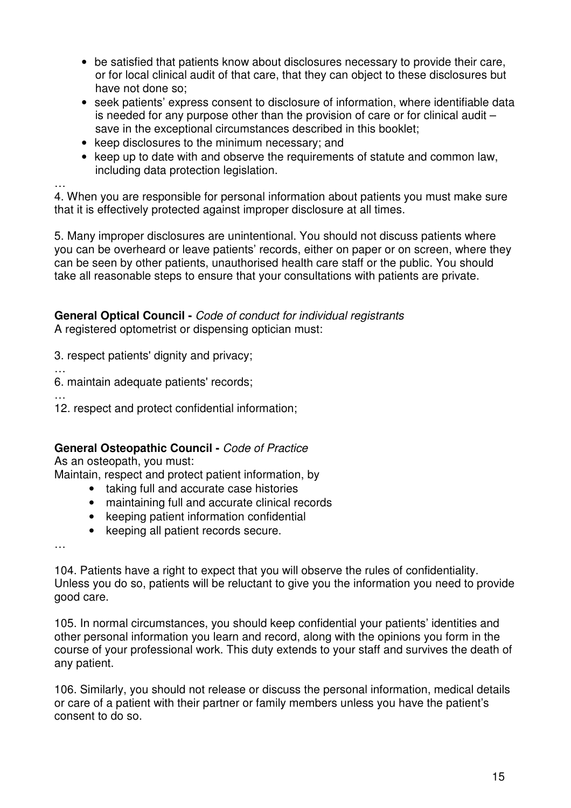- be satisfied that patients know about disclosures necessary to provide their care, or for local clinical audit of that care, that they can object to these disclosures but have not done so;
- seek patients' express consent to disclosure of information, where identifiable data is needed for any purpose other than the provision of care or for clinical audit – save in the exceptional circumstances described in this booklet;
- keep disclosures to the minimum necessary; and
- keep up to date with and observe the requirements of statute and common law, including data protection legislation.

… 4. When you are responsible for personal information about patients you must make sure that it is effectively protected against improper disclosure at all times.

5. Many improper disclosures are unintentional. You should not discuss patients where you can be overheard or leave patients' records, either on paper or on screen, where they can be seen by other patients, unauthorised health care staff or the public. You should take all reasonable steps to ensure that your consultations with patients are private.

**General Optical Council -** Code of conduct for individual registrants A registered optometrist or dispensing optician must:

3. respect patients' dignity and privacy;

6. maintain adequate patients' records;

…

…

12. respect and protect confidential information;

## **General Osteopathic Council -** Code of Practice

As an osteopath, you must:

Maintain, respect and protect patient information, by

- taking full and accurate case histories
- maintaining full and accurate clinical records
- keeping patient information confidential
- keeping all patient records secure.

…

104. Patients have a right to expect that you will observe the rules of confidentiality. Unless you do so, patients will be reluctant to give you the information you need to provide good care.

105. In normal circumstances, you should keep confidential your patients' identities and other personal information you learn and record, along with the opinions you form in the course of your professional work. This duty extends to your staff and survives the death of any patient.

106. Similarly, you should not release or discuss the personal information, medical details or care of a patient with their partner or family members unless you have the patient's consent to do so.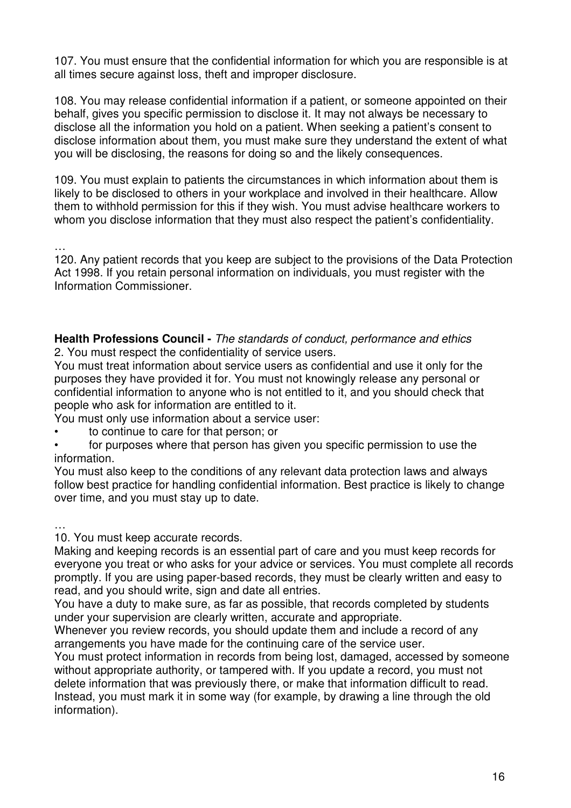107. You must ensure that the confidential information for which you are responsible is at all times secure against loss, theft and improper disclosure.

108. You may release confidential information if a patient, or someone appointed on their behalf, gives you specific permission to disclose it. It may not always be necessary to disclose all the information you hold on a patient. When seeking a patient's consent to disclose information about them, you must make sure they understand the extent of what you will be disclosing, the reasons for doing so and the likely consequences.

109. You must explain to patients the circumstances in which information about them is likely to be disclosed to others in your workplace and involved in their healthcare. Allow them to withhold permission for this if they wish. You must advise healthcare workers to whom you disclose information that they must also respect the patient's confidentiality.

…

120. Any patient records that you keep are subject to the provisions of the Data Protection Act 1998. If you retain personal information on individuals, you must register with the Information Commissioner.

**Health Professions Council -** The standards of conduct, performance and ethics 2. You must respect the confidentiality of service users.

You must treat information about service users as confidential and use it only for the purposes they have provided it for. You must not knowingly release any personal or confidential information to anyone who is not entitled to it, and you should check that people who ask for information are entitled to it.

You must only use information about a service user:

• to continue to care for that person; or

• for purposes where that person has given you specific permission to use the information.

You must also keep to the conditions of any relevant data protection laws and always follow best practice for handling confidential information. Best practice is likely to change over time, and you must stay up to date.

…

10. You must keep accurate records.

Making and keeping records is an essential part of care and you must keep records for everyone you treat or who asks for your advice or services. You must complete all records promptly. If you are using paper-based records, they must be clearly written and easy to read, and you should write, sign and date all entries.

You have a duty to make sure, as far as possible, that records completed by students under your supervision are clearly written, accurate and appropriate.

Whenever you review records, you should update them and include a record of any arrangements you have made for the continuing care of the service user.

You must protect information in records from being lost, damaged, accessed by someone without appropriate authority, or tampered with. If you update a record, you must not delete information that was previously there, or make that information difficult to read. Instead, you must mark it in some way (for example, by drawing a line through the old information).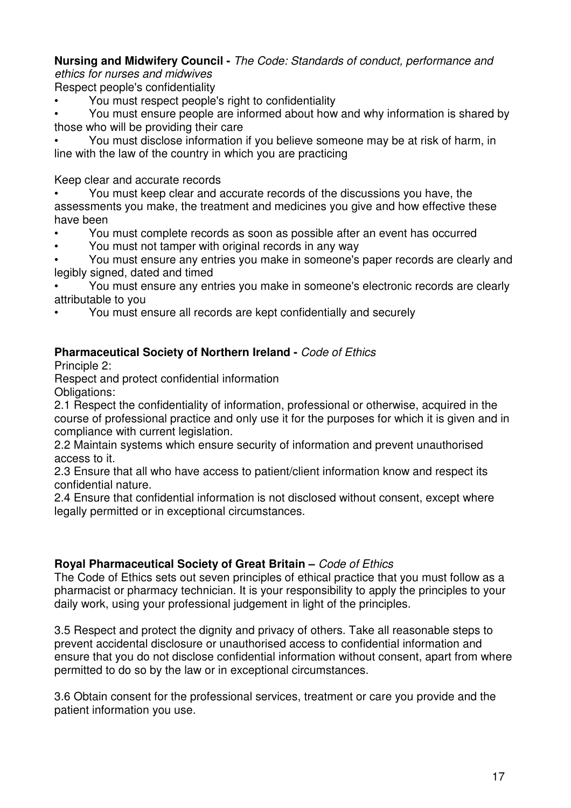#### **Nursing and Midwifery Council -** The Code: Standards of conduct, performance and ethics for nurses and midwives

Respect people's confidentiality

• You must respect people's right to confidentiality

• You must ensure people are informed about how and why information is shared by those who will be providing their care

• You must disclose information if you believe someone may be at risk of harm, in line with the law of the country in which you are practicing

Keep clear and accurate records

• You must keep clear and accurate records of the discussions you have, the assessments you make, the treatment and medicines you give and how effective these have been

- You must complete records as soon as possible after an event has occurred
- You must not tamper with original records in any way

• You must ensure any entries you make in someone's paper records are clearly and legibly signed, dated and timed

• You must ensure any entries you make in someone's electronic records are clearly attributable to you

• You must ensure all records are kept confidentially and securely

# **Pharmaceutical Society of Northern Ireland - Code of Ethics**

Principle 2:

Respect and protect confidential information Obligations:

2.1 Respect the confidentiality of information, professional or otherwise, acquired in the course of professional practice and only use it for the purposes for which it is given and in compliance with current legislation.

2.2 Maintain systems which ensure security of information and prevent unauthorised access to it.

2.3 Ensure that all who have access to patient/client information know and respect its confidential nature.

2.4 Ensure that confidential information is not disclosed without consent, except where legally permitted or in exceptional circumstances.

# **Royal Pharmaceutical Society of Great Britain –** Code of Ethics

The Code of Ethics sets out seven principles of ethical practice that you must follow as a pharmacist or pharmacy technician. It is your responsibility to apply the principles to your daily work, using your professional judgement in light of the principles.

3.5 Respect and protect the dignity and privacy of others. Take all reasonable steps to prevent accidental disclosure or unauthorised access to confidential information and ensure that you do not disclose confidential information without consent, apart from where permitted to do so by the law or in exceptional circumstances.

3.6 Obtain consent for the professional services, treatment or care you provide and the patient information you use.